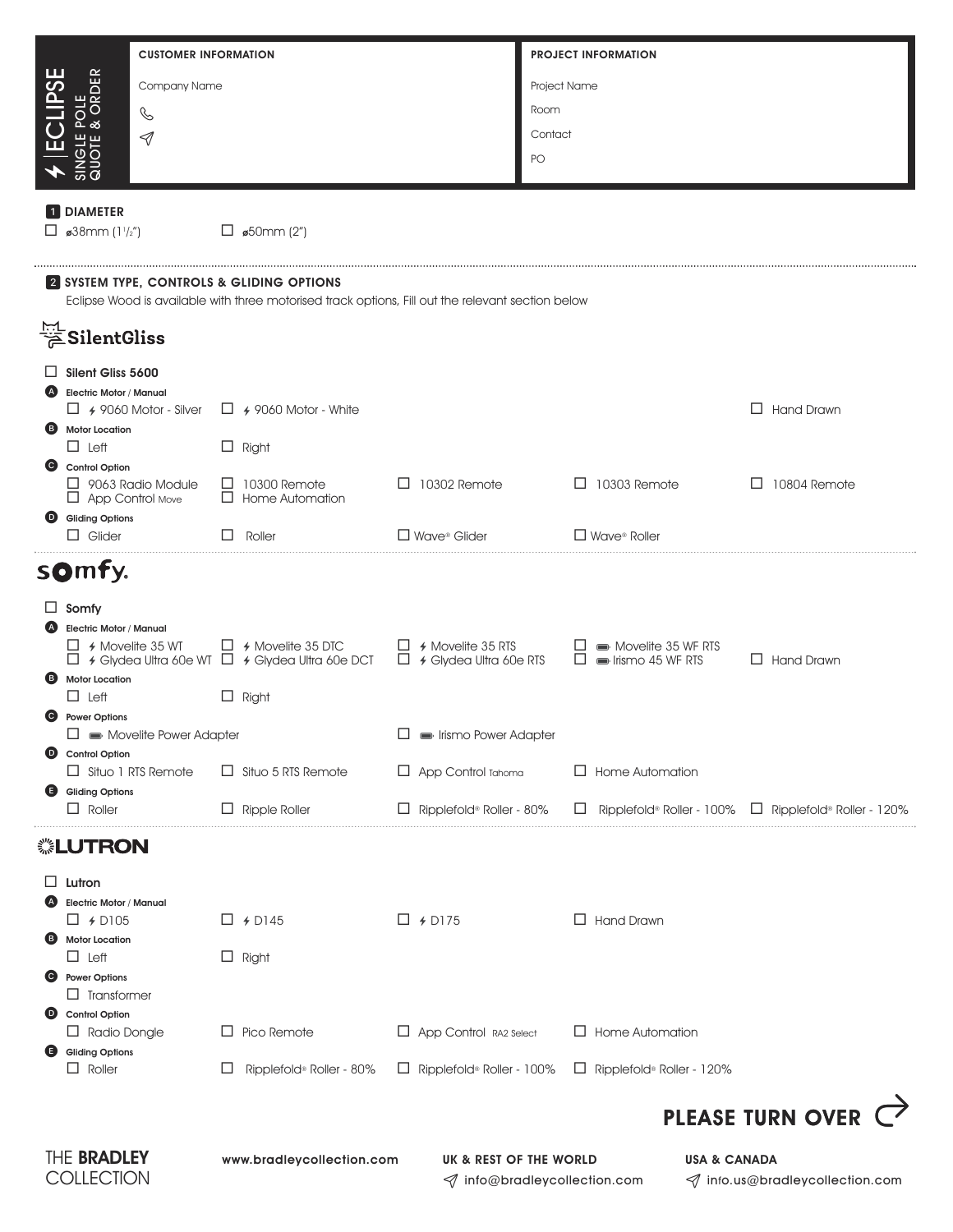|                                                                                               |                                                           | <b>CUSTOMER INFORMATION</b>            |   |                                                                                                   |   |                                  |              | <b>PROJECT INFORMATION</b> |                                        |        |                                  |  |
|-----------------------------------------------------------------------------------------------|-----------------------------------------------------------|----------------------------------------|---|---------------------------------------------------------------------------------------------------|---|----------------------------------|--------------|----------------------------|----------------------------------------|--------|----------------------------------|--|
| CLIPSE                                                                                        | <b>JGLE POLE<br/>JOTE &amp; ORDER</b>                     | Company Name                           |   |                                                                                                   |   |                                  | Project Name |                            |                                        |        |                                  |  |
|                                                                                               |                                                           | C                                      |   |                                                                                                   |   |                                  | Room         |                            |                                        |        |                                  |  |
| 巴                                                                                             |                                                           | $\triangleleft$                        |   |                                                                                                   |   |                                  | Contact      |                            |                                        |        |                                  |  |
|                                                                                               | $rac{2}{5}$                                               |                                        |   |                                                                                                   |   |                                  | PO           |                            |                                        |        |                                  |  |
|                                                                                               | <b>1</b> DIAMETER                                         |                                        |   |                                                                                                   |   |                                  |              |                            |                                        |        |                                  |  |
|                                                                                               | $\Box$ ø38mm (1 <sup>1</sup> /2")                         |                                        |   | $\Box$ \$50mm (2")                                                                                |   |                                  |              |                            |                                        |        |                                  |  |
|                                                                                               |                                                           |                                        |   | 2 SYSTEM TYPE, CONTROLS & GLIDING OPTIONS                                                         |   |                                  |              |                            |                                        |        |                                  |  |
|                                                                                               |                                                           |                                        |   | Eclipse Wood is available with three motorised track options, Fill out the relevant section below |   |                                  |              |                            |                                        |        |                                  |  |
|                                                                                               |                                                           |                                        |   |                                                                                                   |   |                                  |              |                            |                                        |        |                                  |  |
| $\Box$                                                                                        | Silent Gliss 5600<br><b>Electric Motor / Manual</b>       |                                        |   |                                                                                                   |   |                                  |              |                            |                                        |        |                                  |  |
|                                                                                               |                                                           | $\Box$ 4 9060 Motor - Silver           |   | $\Box$ 4 9060 Motor - White                                                                       |   |                                  |              |                            |                                        |        | $\Box$ Hand Drawn                |  |
|                                                                                               | <b>B</b> Motor Location<br>$\Box$ Left                    |                                        |   | $\Box$ Right                                                                                      |   |                                  |              |                            |                                        |        |                                  |  |
| $\bullet$                                                                                     | <b>Control Option</b>                                     | $\Box$ 9063 Radio Module               |   | $\Box$ 10300 Remote                                                                               |   | $\Box$ 10302 Remote              |              |                            | $\Box$ 10303 Remote                    | $\Box$ | 10804 Remote                     |  |
|                                                                                               | $\Box$ App Control Move<br><b>O</b> Gliding Options       |                                        |   | $\Box$ Home Automation                                                                            |   |                                  |              |                            |                                        |        |                                  |  |
|                                                                                               | $\Box$ Glider                                             |                                        | П | Roller                                                                                            |   | $\Box$ Wave <sup>®</sup> Glider  |              |                            | $\Box$ Wave <sup>®</sup> Roller        |        |                                  |  |
|                                                                                               | somfy.                                                    |                                        |   |                                                                                                   |   |                                  |              |                            |                                        |        |                                  |  |
| ப                                                                                             | Somfy                                                     |                                        |   |                                                                                                   |   |                                  |              |                            |                                        |        |                                  |  |
|                                                                                               | <b>Electric Motor / Manual</b><br>$\Box$ 4 Movelite 35 WT |                                        |   | $\Box$ 4 Movelite 35 DTC $\Box$ 4 Movelite 35 RTS                                                 |   |                                  |              |                            | Movelite 35 WF RTS                     |        |                                  |  |
|                                                                                               | <b>Motor Location</b>                                     |                                        |   | $\Box$ 4 Glydea Ultra 60e WT $\Box$ 4 Glydea Ultra 60e DCT $\Box$ 4 Glydea Ultra 60e RTS          |   |                                  |              |                            | $\Box$ $\blacksquare$ Irismo 45 WF RTS |        | $\Box$ Hand Drawn                |  |
|                                                                                               | $\Box$ Left                                               |                                        |   | $\Box$ Right                                                                                      |   |                                  |              |                            |                                        |        |                                  |  |
| C)                                                                                            | <b>Power Options</b>                                      | $\Box \implies$ Movelite Power Adapter |   |                                                                                                   | ப | Irismo Power Adapter             |              |                            |                                        |        |                                  |  |
| $\bullet$                                                                                     | <b>Control Option</b>                                     | $\Box$ Situo 1 RTS Remote              |   | $\Box$ Situo 5 RTS Remote                                                                         | ⊔ | App Control Tahoma               |              |                            | $\Box$ Home Automation                 |        |                                  |  |
| ⊌                                                                                             | <b>Gliding Options</b>                                    |                                        |   |                                                                                                   |   |                                  |              |                            |                                        |        |                                  |  |
|                                                                                               | $\Box$ Roller                                             |                                        |   | $\Box$ Ripple Roller                                                                              | ⊔ | Ripplefold® Roller - 80%         |              |                            | Ripplefold® Roller - 100%              |        | $\Box$ Ripplefold® Roller - 120% |  |
|                                                                                               | ▒LUTRON                                                   |                                        |   |                                                                                                   |   |                                  |              |                            |                                        |        |                                  |  |
| ப                                                                                             | Lutron<br><b>Electric Motor / Manual</b>                  |                                        |   |                                                                                                   |   |                                  |              |                            |                                        |        |                                  |  |
|                                                                                               | $\Box$ 4 D105                                             |                                        |   | $\Box$ + D145                                                                                     |   | $\Box$ + D175                    |              |                            | $\Box$ Hand Drawn                      |        |                                  |  |
| (B)                                                                                           | <b>Motor Location</b><br>$\Box$ Left                      |                                        |   | $\Box$ Right                                                                                      |   |                                  |              |                            |                                        |        |                                  |  |
| <b>O</b>                                                                                      | <b>Power Options</b><br>$\Box$ Transformer                |                                        |   |                                                                                                   |   |                                  |              |                            |                                        |        |                                  |  |
| $\bullet$                                                                                     | <b>Control Option</b>                                     |                                        |   |                                                                                                   |   |                                  |              |                            |                                        |        |                                  |  |
| G)                                                                                            | $\Box$ Radio Dongle<br><b>Gliding Options</b>             |                                        | ப | Pico Remote                                                                                       |   | $\Box$ App Control RA2 Select    |              |                            | $\Box$ Home Automation                 |        |                                  |  |
|                                                                                               | $\Box$ Roller                                             |                                        | ⊔ | Ripplefold® Roller - 80%                                                                          |   | $\Box$ Ripplefold® Roller - 100% |              |                            | Ripplefold® Roller - 120%              |        |                                  |  |
|                                                                                               |                                                           |                                        |   |                                                                                                   |   |                                  |              |                            |                                        |        | <b>PLEASE TURN OVER</b>          |  |
| THE BRADLEY<br>www.bradleycollection.com<br>UK & REST OF THE WORLD<br><b>USA &amp; CANADA</b> |                                                           |                                        |   |                                                                                                   |   |                                  |              |                            |                                        |        |                                  |  |
| COLLECTION                                                                                    |                                                           |                                        |   |                                                                                                   |   | √ info@bradleycollection.com     |              |                            | √ info.us@bradleycollection.com        |        |                                  |  |